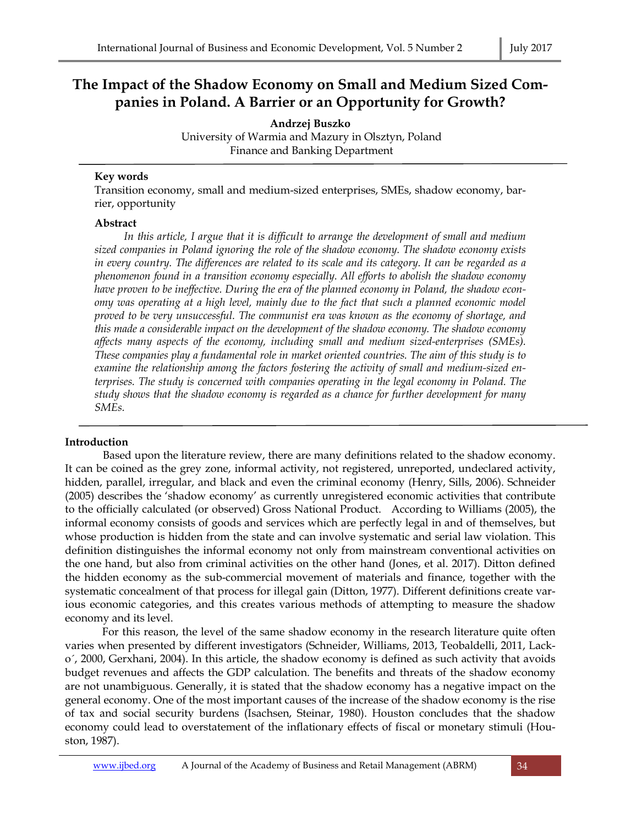# **The Impact of the Shadow Economy on Small and Medium Sized Companies in Poland. A Barrier or an Opportunity for Growth?**

**Andrzej Buszko** 

 University of Warmia and Mazury in Olsztyn, Poland Finance and Banking Department

# **Key words**

Transition economy, small and medium-sized enterprises, SMEs, shadow economy, barrier, opportunity

# **Abstract**

In this article, I argue that it is difficult to arrange the development of small and medium *sized companies in Poland ignoring the role of the shadow economy. The shadow economy exists in every country. The differences are related to its scale and its category. It can be regarded as a phenomenon found in a transition economy especially. All efforts to abolish the shadow economy have proven to be ineffective. During the era of the planned economy in Poland, the shadow economy was operating at a high level, mainly due to the fact that such a planned economic model proved to be very unsuccessful. The communist era was known as the economy of shortage, and this made a considerable impact on the development of the shadow economy. The shadow economy affects many aspects of the economy, including small and medium sized-enterprises (SMEs). These companies play a fundamental role in market oriented countries. The aim of this study is to examine the relationship among the factors fostering the activity of small and medium-sized enterprises. The study is concerned with companies operating in the legal economy in Poland. The study shows that the shadow economy is regarded as a chance for further development for many SMEs.* 

# **Introduction**

 Based upon the literature review, there are many definitions related to the shadow economy. It can be coined as the grey zone, informal activity, not registered, unreported, undeclared activity, hidden, parallel, irregular, and black and even the criminal economy (Henry, Sills, 2006). Schneider (2005) describes the 'shadow economy' as currently unregistered economic activities that contribute to the officially calculated (or observed) Gross National Product. According to Williams (2005), the informal economy consists of goods and services which are perfectly legal in and of themselves, but whose production is hidden from the state and can involve systematic and serial law violation. This definition distinguishes the informal economy not only from mainstream conventional activities on the one hand, but also from criminal activities on the other hand (Jones, et al. 2017). Ditton defined the hidden economy as the sub-commercial movement of materials and finance, together with the systematic concealment of that process for illegal gain (Ditton, 1977). Different definitions create various economic categories, and this creates various methods of attempting to measure the shadow economy and its level.

 For this reason, the level of the same shadow economy in the research literature quite often varies when presented by different investigators (Schneider, Williams, 2013, Teobaldelli, 2011, Lacko´, 2000, Gerxhani, 2004). In this article, the shadow economy is defined as such activity that avoids budget revenues and affects the GDP calculation. The benefits and threats of the shadow economy are not unambiguous. Generally, it is stated that the shadow economy has a negative impact on the general economy. One of the most important causes of the increase of the shadow economy is the rise of tax and social security burdens (Isachsen, Steinar, 1980). Houston concludes that the shadow economy could lead to overstatement of the inflationary effects of fiscal or monetary stimuli (Houston, 1987).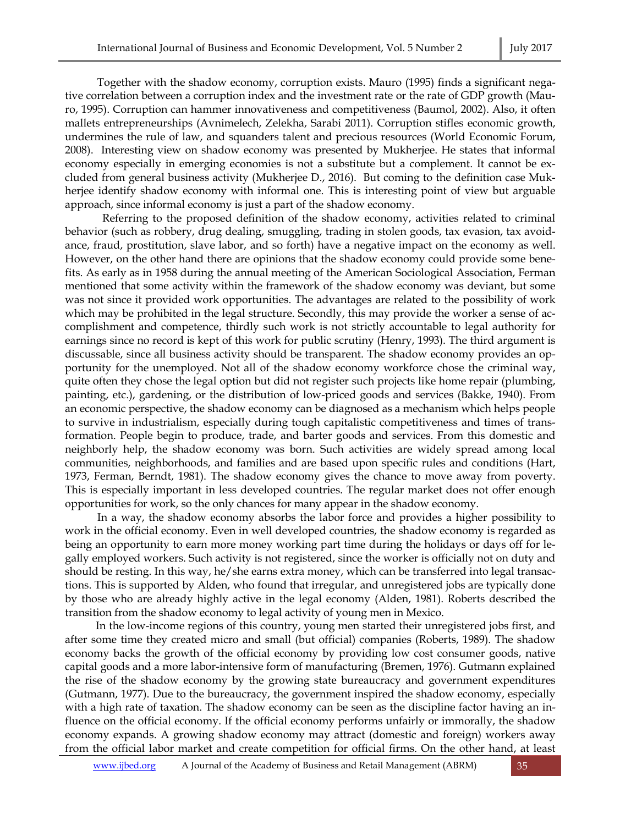Together with the shadow economy, corruption exists. Mauro (1995) finds a significant negative correlation between a corruption index and the investment rate or the rate of GDP growth (Mauro, 1995). Corruption can hammer innovativeness and competitiveness (Baumol, 2002). Also, it often mallets entrepreneurships (Avnimelech, Zelekha, Sarabi 2011). Corruption stifles economic growth, undermines the rule of law, and squanders talent and precious resources (World Economic Forum, 2008). Interesting view on shadow economy was presented by Mukherjee. He states that informal economy especially in emerging economies is not a substitute but a complement. It cannot be excluded from general business activity (Mukherjee D., 2016). But coming to the definition case Mukherjee identify shadow economy with informal one. This is interesting point of view but arguable approach, since informal economy is just a part of the shadow economy.

 Referring to the proposed definition of the shadow economy, activities related to criminal behavior (such as robbery, drug dealing, smuggling, trading in stolen goods, tax evasion, tax avoidance, fraud, prostitution, slave labor, and so forth) have a negative impact on the economy as well. However, on the other hand there are opinions that the shadow economy could provide some benefits. As early as in 1958 during the annual meeting of the American Sociological Association, Ferman mentioned that some activity within the framework of the shadow economy was deviant, but some was not since it provided work opportunities. The advantages are related to the possibility of work which may be prohibited in the legal structure. Secondly, this may provide the worker a sense of accomplishment and competence, thirdly such work is not strictly accountable to legal authority for earnings since no record is kept of this work for public scrutiny (Henry, 1993). The third argument is discussable, since all business activity should be transparent. The shadow economy provides an opportunity for the unemployed. Not all of the shadow economy workforce chose the criminal way, quite often they chose the legal option but did not register such projects like home repair (plumbing, painting, etc.), gardening, or the distribution of low-priced goods and services (Bakke, 1940). From an economic perspective, the shadow economy can be diagnosed as a mechanism which helps people to survive in industrialism, especially during tough capitalistic competitiveness and times of transformation. People begin to produce, trade, and barter goods and services. From this domestic and neighborly help, the shadow economy was born. Such activities are widely spread among local communities, neighborhoods, and families and are based upon specific rules and conditions (Hart, 1973, Ferman, Berndt, 1981). The shadow economy gives the chance to move away from poverty. This is especially important in less developed countries. The regular market does not offer enough opportunities for work, so the only chances for many appear in the shadow economy.

 In a way, the shadow economy absorbs the labor force and provides a higher possibility to work in the official economy. Even in well developed countries, the shadow economy is regarded as being an opportunity to earn more money working part time during the holidays or days off for legally employed workers. Such activity is not registered, since the worker is officially not on duty and should be resting. In this way, he/she earns extra money, which can be transferred into legal transactions. This is supported by Alden, who found that irregular, and unregistered jobs are typically done by those who are already highly active in the legal economy (Alden, 1981). Roberts described the transition from the shadow economy to legal activity of young men in Mexico.

In the low-income regions of this country, young men started their unregistered jobs first, and after some time they created micro and small (but official) companies (Roberts, 1989). The shadow economy backs the growth of the official economy by providing low cost consumer goods, native capital goods and a more labor-intensive form of manufacturing (Bremen, 1976). Gutmann explained the rise of the shadow economy by the growing state bureaucracy and government expenditures (Gutmann, 1977). Due to the bureaucracy, the government inspired the shadow economy, especially with a high rate of taxation. The shadow economy can be seen as the discipline factor having an influence on the official economy. If the official economy performs unfairly or immorally, the shadow economy expands. A growing shadow economy may attract (domestic and foreign) workers away from the official labor market and create competition for official firms. On the other hand, at least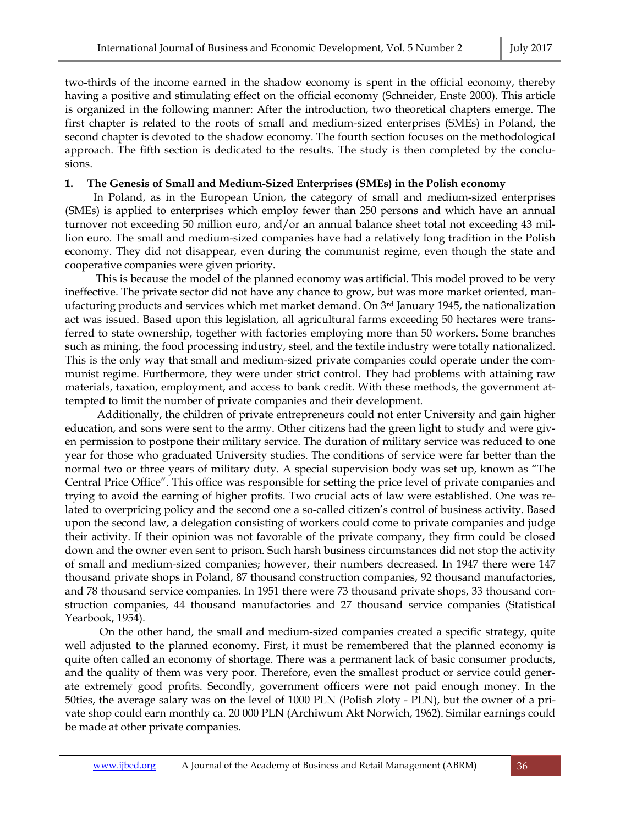two-thirds of the income earned in the shadow economy is spent in the official economy, thereby having a positive and stimulating effect on the official economy (Schneider, Enste 2000). This article is organized in the following manner: After the introduction, two theoretical chapters emerge. The first chapter is related to the roots of small and medium-sized enterprises (SMEs) in Poland, the second chapter is devoted to the shadow economy. The fourth section focuses on the methodological approach. The fifth section is dedicated to the results. The study is then completed by the conclusions.

### **1. The Genesis of Small and Medium-Sized Enterprises (SMEs) in the Polish economy**

In Poland, as in the European Union, the category of small and medium-sized enterprises (SMEs) is applied to enterprises which employ fewer than 250 persons and which have an annual turnover not exceeding 50 million euro, and/or an annual balance sheet total not exceeding 43 million euro. The small and medium-sized companies have had a relatively long tradition in the Polish economy. They did not disappear, even during the communist regime, even though the state and cooperative companies were given priority.

 This is because the model of the planned economy was artificial. This model proved to be very ineffective. The private sector did not have any chance to grow, but was more market oriented, manufacturing products and services which met market demand. On 3rd January 1945, the nationalization act was issued. Based upon this legislation, all agricultural farms exceeding 50 hectares were transferred to state ownership, together with factories employing more than 50 workers. Some branches such as mining, the food processing industry, steel, and the textile industry were totally nationalized. This is the only way that small and medium-sized private companies could operate under the communist regime. Furthermore, they were under strict control. They had problems with attaining raw materials, taxation, employment, and access to bank credit. With these methods, the government attempted to limit the number of private companies and their development.

 Additionally, the children of private entrepreneurs could not enter University and gain higher education, and sons were sent to the army. Other citizens had the green light to study and were given permission to postpone their military service. The duration of military service was reduced to one year for those who graduated University studies. The conditions of service were far better than the normal two or three years of military duty. A special supervision body was set up, known as "The Central Price Office". This office was responsible for setting the price level of private companies and trying to avoid the earning of higher profits. Two crucial acts of law were established. One was related to overpricing policy and the second one a so-called citizen's control of business activity. Based upon the second law, a delegation consisting of workers could come to private companies and judge their activity. If their opinion was not favorable of the private company, they firm could be closed down and the owner even sent to prison. Such harsh business circumstances did not stop the activity of small and medium-sized companies; however, their numbers decreased. In 1947 there were 147 thousand private shops in Poland, 87 thousand construction companies, 92 thousand manufactories, and 78 thousand service companies. In 1951 there were 73 thousand private shops, 33 thousand construction companies, 44 thousand manufactories and 27 thousand service companies (Statistical Yearbook, 1954).

 On the other hand, the small and medium-sized companies created a specific strategy, quite well adjusted to the planned economy. First, it must be remembered that the planned economy is quite often called an economy of shortage. There was a permanent lack of basic consumer products, and the quality of them was very poor. Therefore, even the smallest product or service could generate extremely good profits. Secondly, government officers were not paid enough money. In the 50ties, the average salary was on the level of 1000 PLN (Polish zloty - PLN), but the owner of a private shop could earn monthly ca. 20 000 PLN (Archiwum Akt Norwich, 1962). Similar earnings could be made at other private companies.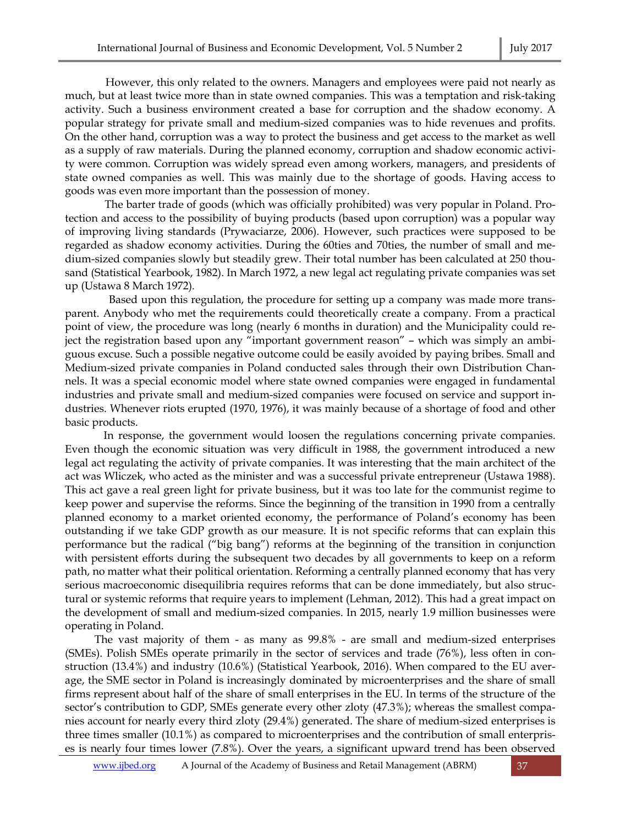However, this only related to the owners. Managers and employees were paid not nearly as much, but at least twice more than in state owned companies. This was a temptation and risk-taking activity. Such a business environment created a base for corruption and the shadow economy. A popular strategy for private small and medium-sized companies was to hide revenues and profits. On the other hand, corruption was a way to protect the business and get access to the market as well as a supply of raw materials. During the planned economy, corruption and shadow economic activity were common. Corruption was widely spread even among workers, managers, and presidents of state owned companies as well. This was mainly due to the shortage of goods. Having access to goods was even more important than the possession of money.

 The barter trade of goods (which was officially prohibited) was very popular in Poland. Protection and access to the possibility of buying products (based upon corruption) was a popular way of improving living standards (Prywaciarze, 2006). However, such practices were supposed to be regarded as shadow economy activities. During the 60ties and 70ties, the number of small and medium-sized companies slowly but steadily grew. Their total number has been calculated at 250 thousand (Statistical Yearbook, 1982). In March 1972, a new legal act regulating private companies was set up (Ustawa 8 March 1972).

 Based upon this regulation, the procedure for setting up a company was made more transparent. Anybody who met the requirements could theoretically create a company. From a practical point of view, the procedure was long (nearly 6 months in duration) and the Municipality could reject the registration based upon any "important government reason" – which was simply an ambiguous excuse. Such a possible negative outcome could be easily avoided by paying bribes. Small and Medium-sized private companies in Poland conducted sales through their own Distribution Channels. It was a special economic model where state owned companies were engaged in fundamental industries and private small and medium-sized companies were focused on service and support industries. Whenever riots erupted (1970, 1976), it was mainly because of a shortage of food and other basic products.

 In response, the government would loosen the regulations concerning private companies. Even though the economic situation was very difficult in 1988, the government introduced a new legal act regulating the activity of private companies. It was interesting that the main architect of the act was Wliczek, who acted as the minister and was a successful private entrepreneur (Ustawa 1988). This act gave a real green light for private business, but it was too late for the communist regime to keep power and supervise the reforms. Since the beginning of the transition in 1990 from a centrally planned economy to a market oriented economy, the performance of Poland's economy has been outstanding if we take GDP growth as our measure. It is not specific reforms that can explain this performance but the radical ("big bang") reforms at the beginning of the transition in conjunction with persistent efforts during the subsequent two decades by all governments to keep on a reform path, no matter what their political orientation. Reforming a centrally planned economy that has very serious macroeconomic disequilibria requires reforms that can be done immediately, but also structural or systemic reforms that require years to implement (Lehman, 2012). This had a great impact on the development of small and medium-sized companies. In 2015, nearly 1.9 million businesses were operating in Poland.

The vast majority of them - as many as 99.8% - are small and medium-sized enterprises (SMEs). Polish SMEs operate primarily in the sector of services and trade (76%), less often in construction (13.4%) and industry (10.6%) (Statistical Yearbook, 2016). When compared to the EU average, the SME sector in Poland is increasingly dominated by microenterprises and the share of small firms represent about half of the share of small enterprises in the EU. In terms of the structure of the sector's contribution to GDP, SMEs generate every other zloty (47.3%); whereas the smallest companies account for nearly every third zloty (29.4%) generated. The share of medium-sized enterprises is three times smaller (10.1%) as compared to microenterprises and the contribution of small enterprises is nearly four times lower (7.8%). Over the years, a significant upward trend has been observed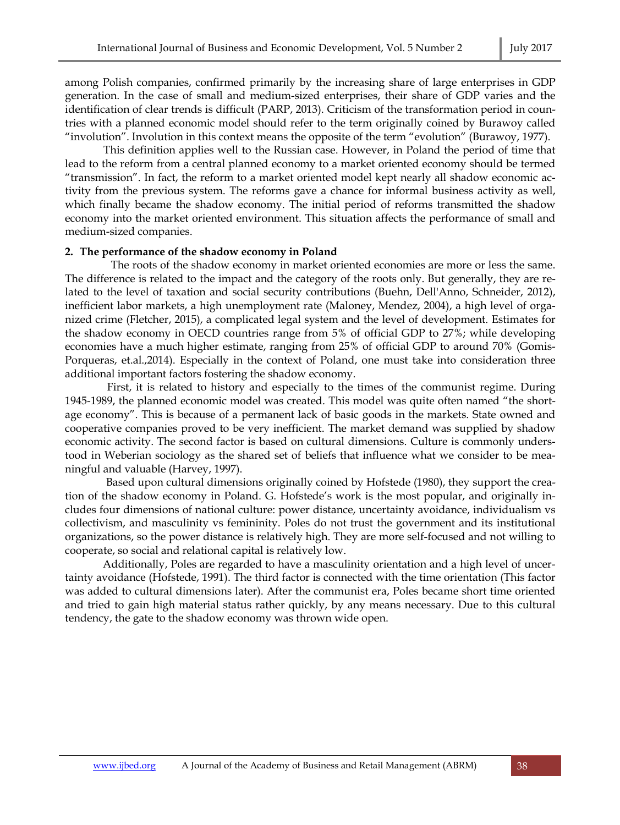among Polish companies, confirmed primarily by the increasing share of large enterprises in GDP generation. In the case of small and medium-sized enterprises, their share of GDP varies and the identification of clear trends is difficult (PARP, 2013). Criticism of the transformation period in countries with a planned economic model should refer to the term originally coined by Burawoy called "involution". Involution in this context means the opposite of the term "evolution" (Burawoy, 1977).

 This definition applies well to the Russian case. However, in Poland the period of time that lead to the reform from a central planned economy to a market oriented economy should be termed "transmission". In fact, the reform to a market oriented model kept nearly all shadow economic activity from the previous system. The reforms gave a chance for informal business activity as well, which finally became the shadow economy. The initial period of reforms transmitted the shadow economy into the market oriented environment. This situation affects the performance of small and medium-sized companies.

#### **2. The performance of the shadow economy in Poland**

 The roots of the shadow economy in market oriented economies are more or less the same. The difference is related to the impact and the category of the roots only. But generally, they are related to the level of taxation and social security contributions (Buehn, Dell'Anno, Schneider, 2012), inefficient labor markets, a high unemployment rate (Maloney, Mendez, 2004), a high level of organized crime (Fletcher, 2015), a complicated legal system and the level of development. Estimates for the shadow economy in OECD countries range from 5% of official GDP to 27%; while developing economies have a much higher estimate, ranging from 25% of official GDP to around 70% (Gomis-Porqueras, et.al.,2014). Especially in the context of Poland, one must take into consideration three additional important factors fostering the shadow economy.

 First, it is related to history and especially to the times of the communist regime. During 1945-1989, the planned economic model was created. This model was quite often named "the shortage economy". This is because of a permanent lack of basic goods in the markets. State owned and cooperative companies proved to be very inefficient. The market demand was supplied by shadow economic activity. The second factor is based on cultural dimensions. Culture is commonly understood in Weberian sociology as the shared set of beliefs that influence what we consider to be meaningful and valuable (Harvey, 1997).

 Based upon cultural dimensions originally coined by Hofstede (1980), they support the creation of the shadow economy in Poland. G. Hofstede's work is the most popular, and originally includes four dimensions of national culture: power distance, uncertainty avoidance, individualism vs collectivism, and masculinity vs femininity. Poles do not trust the government and its institutional organizations, so the power distance is relatively high. They are more self-focused and not willing to cooperate, so social and relational capital is relatively low.

 Additionally, Poles are regarded to have a masculinity orientation and a high level of uncertainty avoidance (Hofstede, 1991). The third factor is connected with the time orientation (This factor was added to cultural dimensions later). After the communist era, Poles became short time oriented and tried to gain high material status rather quickly, by any means necessary. Due to this cultural tendency, the gate to the shadow economy was thrown wide open.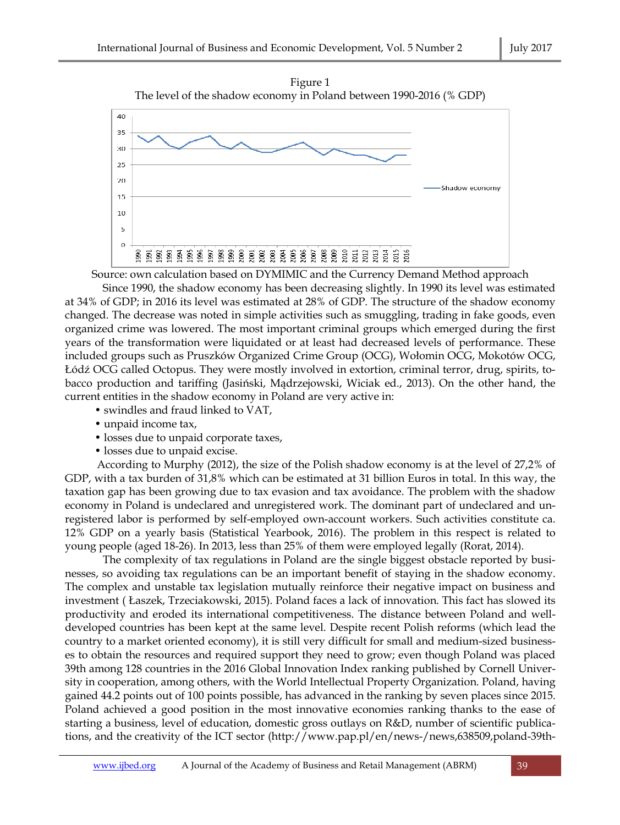



Source: own calculation based on DYMIMIC and the Currency Demand Method approach

 Since 1990, the shadow economy has been decreasing slightly. In 1990 its level was estimated at 34% of GDP; in 2016 its level was estimated at 28% of GDP. The structure of the shadow economy changed. The decrease was noted in simple activities such as smuggling, trading in fake goods, even organized crime was lowered. The most important criminal groups which emerged during the first years of the transformation were liquidated or at least had decreased levels of performance. These included groups such as Pruszków Organized Crime Group (OCG), Wołomin OCG, Mokotów OCG, Łódź OCG called Octopus. They were mostly involved in extortion, criminal terror, drug, spirits, tobacco production and tariffing (Jasiński, Mądrzejowski, Wiciak ed., 2013). On the other hand, the current entities in the shadow economy in Poland are very active in:

- swindles and fraud linked to VAT,
- unpaid income tax,
- losses due to unpaid corporate taxes,
- losses due to unpaid excise.

 According to Murphy (2012), the size of the Polish shadow economy is at the level of 27,2% of GDP, with a tax burden of 31,8% which can be estimated at 31 billion Euros in total. In this way, the taxation gap has been growing due to tax evasion and tax avoidance. The problem with the shadow economy in Poland is undeclared and unregistered work. The dominant part of undeclared and unregistered labor is performed by self-employed own-account workers. Such activities constitute ca. 12% GDP on a yearly basis (Statistical Yearbook, 2016). The problem in this respect is related to young people (aged 18-26). In 2013, less than 25% of them were employed legally (Rorat, 2014).

 The complexity of tax regulations in Poland are the single biggest obstacle reported by businesses, so avoiding tax regulations can be an important benefit of staying in the shadow economy. The complex and unstable tax legislation mutually reinforce their negative impact on business and investment ( Łaszek, Trzeciakowski, 2015). Poland faces a lack of innovation. This fact has slowed its productivity and eroded its international competitiveness. The distance between Poland and welldeveloped countries has been kept at the same level. Despite recent Polish reforms (which lead the country to a market oriented economy), it is still very difficult for small and medium-sized businesses to obtain the resources and required support they need to grow; even though Poland was placed 39th among 128 countries in the 2016 Global Innovation Index ranking published by Cornell University in cooperation, among others, with the World Intellectual Property Organization. Poland, having gained 44.2 points out of 100 points possible, has advanced in the ranking by seven places since 2015. Poland achieved a good position in the most innovative economies ranking thanks to the ease of starting a business, level of education, domestic gross outlays on R&D, number of scientific publications, and the creativity of the ICT sector (http://www.pap.pl/en/news-/news,638509,poland-39th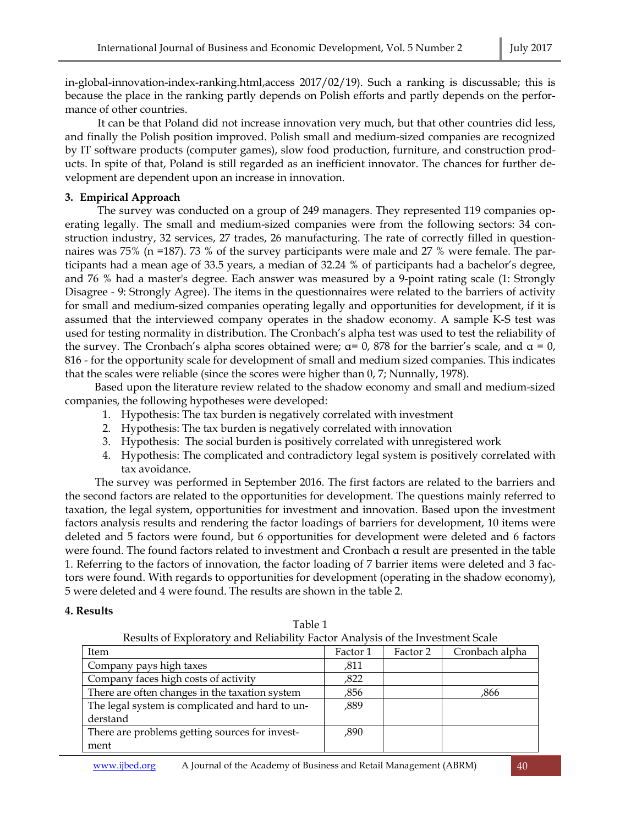in-global-innovation-index-ranking.html,access 2017/02/19). Such a ranking is discussable; this is because the place in the ranking partly depends on Polish efforts and partly depends on the performance of other countries.

 It can be that Poland did not increase innovation very much, but that other countries did less, and finally the Polish position improved. Polish small and medium-sized companies are recognized by IT software products (computer games), slow food production, furniture, and construction products. In spite of that, Poland is still regarded as an inefficient innovator. The chances for further development are dependent upon an increase in innovation.

# **3. Empirical Approach**

 The survey was conducted on a group of 249 managers. They represented 119 companies operating legally. The small and medium-sized companies were from the following sectors: 34 construction industry, 32 services, 27 trades, 26 manufacturing. The rate of correctly filled in questionnaires was 75% (n =187). 73 % of the survey participants were male and 27 % were female. The participants had a mean age of 33.5 years, a median of 32.24 % of participants had a bachelor's degree, and 76 % had a master's degree. Each answer was measured by a 9-point rating scale (1: Strongly Disagree - 9: Strongly Agree). The items in the questionnaires were related to the barriers of activity for small and medium-sized companies operating legally and opportunities for development, if it is assumed that the interviewed company operates in the shadow economy. A sample K-S test was used for testing normality in distribution. The Cronbach's alpha test was used to test the reliability of the survey. The Cronbach's alpha scores obtained were;  $\alpha$ = 0, 878 for the barrier's scale, and  $\alpha$  = 0, 816 - for the opportunity scale for development of small and medium sized companies. This indicates that the scales were reliable (since the scores were higher than 0, 7; Nunnally, 1978).

Based upon the literature review related to the shadow economy and small and medium-sized companies, the following hypotheses were developed:

- 1. Hypothesis: The tax burden is negatively correlated with investment
- 2. Hypothesis: The tax burden is negatively correlated with innovation
- 3. Hypothesis: The social burden is positively correlated with unregistered work
- 4. Hypothesis: The complicated and contradictory legal system is positively correlated with tax avoidance.

 The survey was performed in September 2016. The first factors are related to the barriers and the second factors are related to the opportunities for development. The questions mainly referred to taxation, the legal system, opportunities for investment and innovation. Based upon the investment factors analysis results and rendering the factor loadings of barriers for development, 10 items were deleted and 5 factors were found, but 6 opportunities for development were deleted and 6 factors were found. The found factors related to investment and Cronbach α result are presented in the table 1. Referring to the factors of innovation, the factor loading of 7 barrier items were deleted and 3 factors were found. With regards to opportunities for development (operating in the shadow economy), 5 were deleted and 4 were found. The results are shown in the table 2.

# **4. Results**

| Table 1                                                                        |  |  |  |  |  |
|--------------------------------------------------------------------------------|--|--|--|--|--|
| Results of Exploratory and Reliability Factor Analysis of the Investment Scale |  |  |  |  |  |

| Item                                            | Factor 1 | Factor 2 | Cronbach alpha |
|-------------------------------------------------|----------|----------|----------------|
| Company pays high taxes                         | ,811     |          |                |
| Company faces high costs of activity            | ,822     |          |                |
| There are often changes in the taxation system  | ,856     |          | ,866           |
| The legal system is complicated and hard to un- | ,889     |          |                |
| derstand                                        |          |          |                |
| There are problems getting sources for invest-  | ,890     |          |                |
| ment                                            |          |          |                |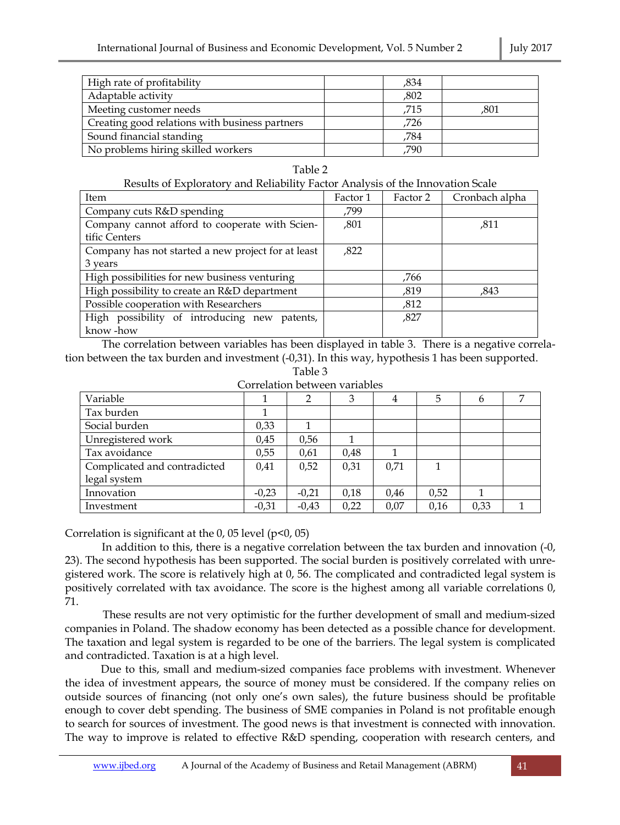| High rate of profitability                     | ,834 |      |
|------------------------------------------------|------|------|
| Adaptable activity                             | ,802 |      |
| Meeting customer needs                         | .715 | .801 |
| Creating good relations with business partners | ,726 |      |
| Sound financial standing                       | ,784 |      |
| No problems hiring skilled workers             | .790 |      |

Table 2<br>استانتارنا

| Results of Exploratory and Reliability Factor Analysis of the Innovation Scale |          |          |                |
|--------------------------------------------------------------------------------|----------|----------|----------------|
| Item                                                                           | Factor 1 | Factor 2 | Cronbach alpha |
| Company cuts R&D spending                                                      | .799     |          |                |
| Company cannot afford to cooperate with Scien-                                 | ,801     |          | ,811           |
| tific Centers                                                                  |          |          |                |
| Company has not started a new project for at least                             | ,822     |          |                |
| 3 years                                                                        |          |          |                |
| High possibilities for new business venturing                                  |          | ,766     |                |
| High possibility to create an R&D department                                   |          | .819     | ,843           |
| Possible cooperation with Researchers                                          |          | ,812     |                |
| High possibility of introducing new patents,                                   |          | ,827     |                |
| know -how                                                                      |          |          |                |

 The correlation between variables has been displayed in table 3. There is a negative correlation between the tax burden and investment (-0,31). In this way, hypothesis 1 has been supported.

Table 3

Correlation between variables

| Variable                     |         | ◠       | 3    | 4    | 5    | h    | ⇁ |
|------------------------------|---------|---------|------|------|------|------|---|
| Tax burden                   |         |         |      |      |      |      |   |
| Social burden                | 0,33    |         |      |      |      |      |   |
| Unregistered work            | 0.45    | 0,56    |      |      |      |      |   |
| Tax avoidance                | 0,55    | 0,61    | 0,48 |      |      |      |   |
| Complicated and contradicted | 0,41    | 0,52    | 0,31 | 0.71 |      |      |   |
| legal system                 |         |         |      |      |      |      |   |
| Innovation                   | $-0,23$ | $-0,21$ | 0,18 | 0,46 | 0,52 |      |   |
| Investment                   | $-0,31$ | $-0.43$ | 0,22 | 0,07 | 0,16 | 0,33 |   |

Correlation is significant at the  $0$ ,  $05$  level ( $p<0$ ,  $05$ )

 In addition to this, there is a negative correlation between the tax burden and innovation (-0, 23). The second hypothesis has been supported. The social burden is positively correlated with unregistered work. The score is relatively high at 0, 56. The complicated and contradicted legal system is positively correlated with tax avoidance. The score is the highest among all variable correlations 0, 71.

 These results are not very optimistic for the further development of small and medium-sized companies in Poland. The shadow economy has been detected as a possible chance for development. The taxation and legal system is regarded to be one of the barriers. The legal system is complicated and contradicted. Taxation is at a high level.

 Due to this, small and medium-sized companies face problems with investment. Whenever the idea of investment appears, the source of money must be considered. If the company relies on outside sources of financing (not only one's own sales), the future business should be profitable enough to cover debt spending. The business of SME companies in Poland is not profitable enough to search for sources of investment. The good news is that investment is connected with innovation. The way to improve is related to effective R&D spending, cooperation with research centers, and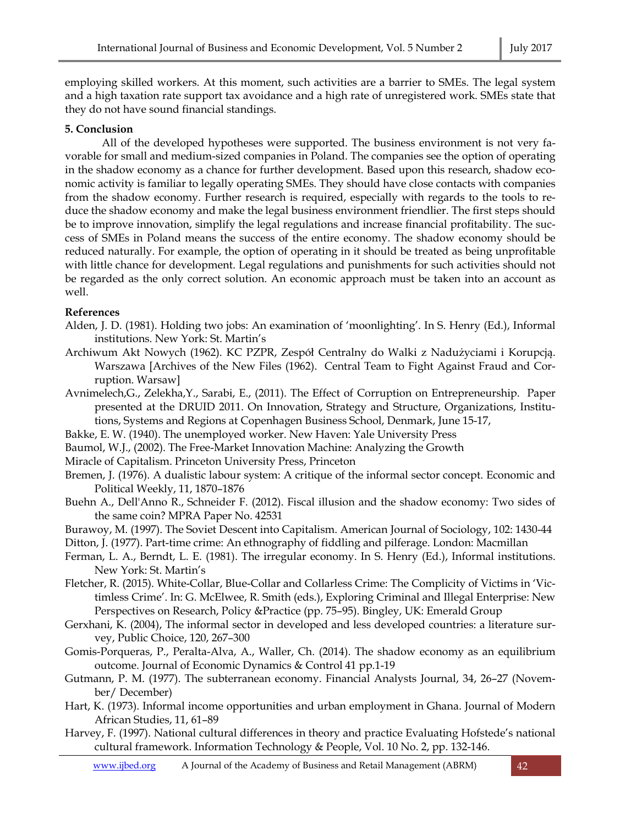employing skilled workers. At this moment, such activities are a barrier to SMEs. The legal system and a high taxation rate support tax avoidance and a high rate of unregistered work. SMEs state that they do not have sound financial standings.

# **5. Conclusion**

All of the developed hypotheses were supported. The business environment is not very favorable for small and medium-sized companies in Poland. The companies see the option of operating in the shadow economy as a chance for further development. Based upon this research, shadow economic activity is familiar to legally operating SMEs. They should have close contacts with companies from the shadow economy. Further research is required, especially with regards to the tools to reduce the shadow economy and make the legal business environment friendlier. The first steps should be to improve innovation, simplify the legal regulations and increase financial profitability. The success of SMEs in Poland means the success of the entire economy. The shadow economy should be reduced naturally. For example, the option of operating in it should be treated as being unprofitable with little chance for development. Legal regulations and punishments for such activities should not be regarded as the only correct solution. An economic approach must be taken into an account as well.

# **References**

- Alden, J. D. (1981). Holding two jobs: An examination of 'moonlighting'. In S. Henry (Ed.), Informal institutions. New York: St. Martin's
- Archiwum Akt Nowych (1962). KC PZPR, Zespół Centralny do Walki z Nadużyciami i Korupcją. Warszawa [Archives of the New Files (1962). Central Team to Fight Against Fraud and Corruption. Warsaw]
- Avnimelech,G., Zelekha,Y., Sarabi, E., (2011). The Effect of Corruption on Entrepreneurship. Paper presented at the DRUID 2011. On Innovation, Strategy and Structure, Organizations, Institutions, Systems and Regions at Copenhagen Business School, Denmark, June 15-17,
- Bakke, E. W. (1940). The unemployed worker. New Haven: Yale University Press
- Baumol, W.J., (2002). The Free-Market Innovation Machine: Analyzing the Growth
- Miracle of Capitalism. Princeton University Press, Princeton
- Bremen, J. (1976). A dualistic labour system: A critique of the informal sector concept. Economic and Political Weekly, 11, 1870–1876
- Buehn A., Dell'Anno R., Schneider F. (2012). Fiscal illusion and the shadow economy: Two sides of the same coin? MPRA Paper No. 42531
- Burawoy, M. (1997). The Soviet Descent into Capitalism. American Journal of Sociology, 102: 1430-44
- Ditton, J. (1977). Part-time crime: An ethnography of fiddling and pilferage. London: Macmillan
- Ferman, L. A., Berndt, L. E. (1981). The irregular economy. In S. Henry (Ed.), Informal institutions. New York: St. Martin's
- Fletcher, R. (2015). White-Collar, Blue-Collar and Collarless Crime: The Complicity of Victims in 'Victimless Crime'. In: G. McElwee, R. Smith (eds.), Exploring Criminal and Illegal Enterprise: New Perspectives on Research, Policy &Practice (pp. 75–95). Bingley, UK: Emerald Group
- Gerxhani, K. (2004), The informal sector in developed and less developed countries: a literature survey, Public Choice, 120, 267–300
- Gomis-Porqueras, P., Peralta-Alva, A., Waller, Ch. (2014). The shadow economy as an equilibrium outcome. Journal of Economic Dynamics & Control 41 pp.1-19
- Gutmann, P. M. (1977). The subterranean economy. Financial Analysts Journal, 34, 26–27 (November/ December)
- Hart, K. (1973). Informal income opportunities and urban employment in Ghana. Journal of Modern African Studies, 11, 61–89
- Harvey, F. (1997). National cultural differences in theory and practice Evaluating Hofstede's national cultural framework. Information Technology & People, Vol. 10 No. 2, pp. 132-146.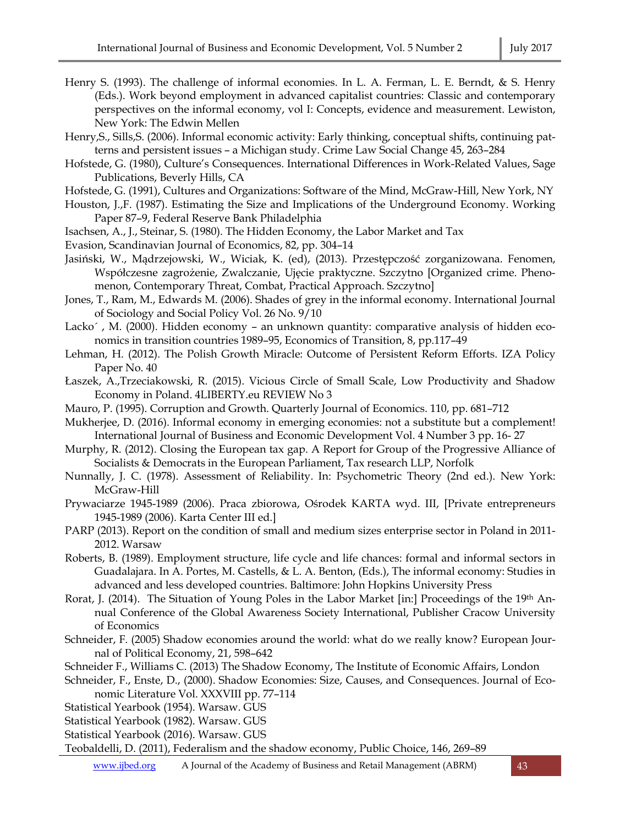- Henry S. (1993). The challenge of informal economies. In L. A. Ferman, L. E. Berndt, & S. Henry (Eds.). Work beyond employment in advanced capitalist countries: Classic and contemporary perspectives on the informal economy, vol I: Concepts, evidence and measurement. Lewiston, New York: The Edwin Mellen
- Henry,S., Sills,S. (2006). Informal economic activity: Early thinking, conceptual shifts, continuing patterns and persistent issues – a Michigan study. Crime Law Social Change 45, 263–284
- Hofstede, G. (1980), Culture's Consequences. International Differences in Work-Related Values, Sage Publications, Beverly Hills, CA
- Hofstede, G. (1991), Cultures and Organizations: Software of the Mind, McGraw-Hill, New York, NY
- Houston, J.,F. (1987). Estimating the Size and Implications of the Underground Economy. Working Paper 87–9, Federal Reserve Bank Philadelphia
- Isachsen, A., J., Steinar, S. (1980). The Hidden Economy, the Labor Market and Tax
- Evasion, Scandinavian Journal of Economics, 82, pp. 304–14
- Jasiński, W., Mądrzejowski, W., Wiciak, K. (ed), (2013). Przestępczość zorganizowana. Fenomen, Współczesne zagrożenie, Zwalczanie, Ujęcie praktyczne. Szczytno [Organized crime. Phenomenon, Contemporary Threat, Combat, Practical Approach. Szczytno]
- Jones, T., Ram, M., Edwards M. (2006). Shades of grey in the informal economy. International Journal of Sociology and Social Policy Vol. 26 No. 9/10
- Lacko´, M. (2000). Hidden economy an unknown quantity: comparative analysis of hidden economics in transition countries 1989–95, Economics of Transition, 8, pp.117–49
- Lehman, H. (2012). The Polish Growth Miracle: Outcome of Persistent Reform Efforts. IZA Policy Paper No. 40
- Łaszek, A.,Trzeciakowski, R. (2015). Vicious Circle of Small Scale, Low Productivity and Shadow Economy in Poland. 4LIBERTY.eu REVIEW No 3
- Mauro, P. (1995). Corruption and Growth. Quarterly Journal of Economics. 110, pp. 681–712
- Mukherjee, D. (2016). Informal economy in emerging economies: not a substitute but a complement! International Journal of Business and Economic Development Vol. 4 Number 3 pp. 16- 27
- Murphy, R. (2012). Closing the European tax gap. A Report for Group of the Progressive Alliance of Socialists & Democrats in the European Parliament, Tax research LLP, Norfolk
- Nunnally, J. C. (1978). Assessment of Reliability. In: Psychometric Theory (2nd ed.). New York: McGraw-Hill
- Prywaciarze 1945-1989 (2006). Praca zbiorowa, Ośrodek KARTA wyd. III, [Private entrepreneurs 1945-1989 (2006). Karta Center III ed.]
- PARP (2013). Report on the condition of small and medium sizes enterprise sector in Poland in 2011- 2012. Warsaw
- Roberts, B. (1989). Employment structure, life cycle and life chances: formal and informal sectors in Guadalajara. In A. Portes, M. Castells, & L. A. Benton, (Eds.), The informal economy: Studies in advanced and less developed countries. Baltimore: John Hopkins University Press
- Rorat, J. (2014). The Situation of Young Poles in the Labor Market [in:] Proceedings of the 19<sup>th</sup> Annual Conference of the Global Awareness Society International, Publisher Cracow University of Economics
- Schneider, F. (2005) Shadow economies around the world: what do we really know? European Journal of Political Economy, 21, 598–642
- Schneider F., Williams C. (2013) The Shadow Economy, The Institute of Economic Affairs, London
- Schneider, F., Enste, D., (2000). Shadow Economies: Size, Causes, and Consequences. Journal of Economic Literature Vol. XXXVIII pp. 77–114
- Statistical Yearbook (1954). Warsaw. GUS
- Statistical Yearbook (1982). Warsaw. GUS
- Statistical Yearbook (2016). Warsaw. GUS
- Teobaldelli, D. (2011), Federalism and the shadow economy, Public Choice, 146, 269–89